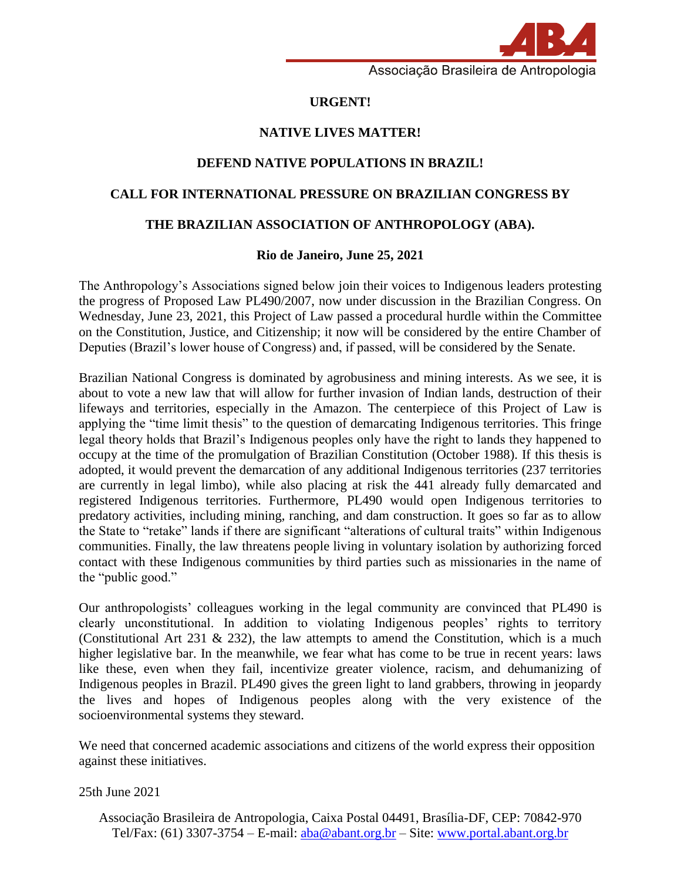

Associação Brasileira de Antropologia

# **URGENT!**

## **NATIVE LIVES MATTER!**

# **DEFEND NATIVE POPULATIONS IN BRAZIL!**

#### **CALL FOR INTERNATIONAL PRESSURE ON BRAZILIAN CONGRESS BY**

### **THE BRAZILIAN ASSOCIATION OF ANTHROPOLOGY (ABA).**

### **Rio de Janeiro, June 25, 2021**

The Anthropology's Associations signed below join their voices to Indigenous leaders protesting the progress of Proposed Law PL490/2007, now under discussion in the Brazilian Congress. On Wednesday, June 23, 2021, this Project of Law passed a procedural hurdle within the Committee on the Constitution, Justice, and Citizenship; it now will be considered by the entire Chamber of Deputies (Brazil's lower house of Congress) and, if passed, will be considered by the Senate.

Brazilian National Congress is dominated by agrobusiness and mining interests. As we see, it is about to vote a new law that will allow for further invasion of Indian lands, destruction of their lifeways and territories, especially in the Amazon. The centerpiece of this Project of Law is applying the "time limit thesis" to the question of demarcating Indigenous territories. This fringe legal theory holds that Brazil's Indigenous peoples only have the right to lands they happened to occupy at the time of the promulgation of Brazilian Constitution (October 1988). If this thesis is adopted, it would prevent the demarcation of any additional Indigenous territories (237 territories are currently in legal limbo), while also placing at risk the 441 already fully demarcated and registered Indigenous territories. Furthermore, PL490 would open Indigenous territories to predatory activities, including mining, ranching, and dam construction. It goes so far as to allow the State to "retake" lands if there are significant "alterations of cultural traits" within Indigenous communities. Finally, the law threatens people living in voluntary isolation by authorizing forced contact with these Indigenous communities by third parties such as missionaries in the name of the "public good."

Our anthropologists' colleagues working in the legal community are convinced that PL490 is clearly unconstitutional. In addition to violating Indigenous peoples' rights to territory (Constitutional Art 231  $\&$  232), the law attempts to amend the Constitution, which is a much higher legislative bar. In the meanwhile, we fear what has come to be true in recent years: laws like these, even when they fail, incentivize greater violence, racism, and dehumanizing of Indigenous peoples in Brazil. PL490 gives the green light to land grabbers, throwing in jeopardy the lives and hopes of Indigenous peoples along with the very existence of the socioenvironmental systems they steward.

We need that concerned academic associations and citizens of the world express their opposition against these initiatives.

25th June 2021

Associação Brasileira de Antropologia, Caixa Postal 04491, Brasília-DF, CEP: 70842-970 Tel/Fax: (61) 3307-3754 – E-mail: [aba@abant.org.br](mailto:aba@abant.org.br) – Site: [www.portal.abant.org.br](http://www.portal.abant.org.br/)